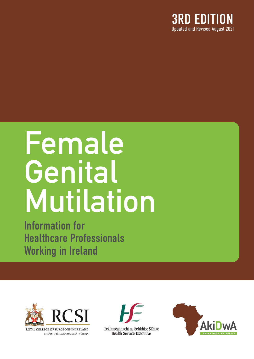

# Female Genital Mutilation

Information for Healthcare Professionals Working in Ireland



COLÁISTE RÍOGA NA MÁINLEÁ IN ÉIRINN



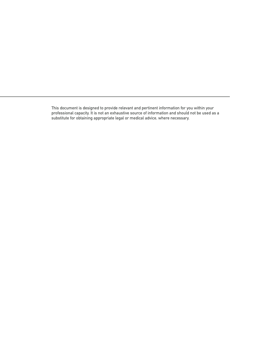This document is designed to provide relevant and pertinent information for you within your professional capacity. It is not an exhaustive source of information and should not be used as a substitute for obtaining appropriate legal or medical advice, where necessary.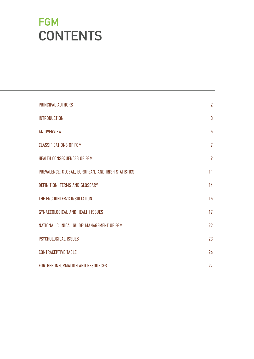# FGM **CONTENTS**

| PRINCIPAL AUTHORS                                  | $\overline{2}$ |
|----------------------------------------------------|----------------|
| <b>INTRODUCTION</b>                                | 3              |
| <b>AN OVERVIEW</b>                                 | 5              |
| <b>CLASSIFICATIONS OF FGM</b>                      | $\overline{7}$ |
| HEALTH CONSEQUENCES OF FGM                         | 9              |
| PREVALENCE: GLOBAL, EUROPEAN, AND IRISH STATISTICS | 11             |
| DEFINITION, TERMS AND GLOSSARY                     | 14             |
| THE ENCOUNTER/CONSULTATION                         | 15             |
| GYNAECOLOGICAL AND HEALTH ISSUES                   | 17             |
| NATIONAL CLINICAL GUIDE: MANAGEMENT OF FGM         | 22             |
| PSYCHOLOGICAL ISSUES                               | 23             |
| <b>CONTRACEPTIVE TABLE</b>                         | 26             |
| FURTHER INFORMATION AND RESOURCES                  | 27             |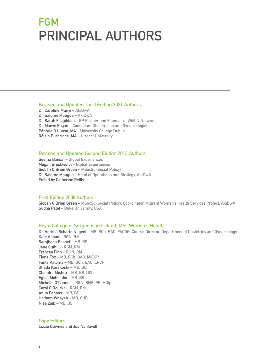# **FGM** PRINCIPAL AUTHORS

#### Revised and Updated Third Edition 2021 Authors

Dr. Caroline Munyi – AkiDwA Dr. Salome Mbugua – AkiDwA Dr. Sarah Fitzgibbon – GP Partner and Founder of WiMIN Network Dr. Maeve Eogan – Consultant Obstetrician and Gynaecologist Pádraig Ó Luasa, MA – University College Dublin Róisín Burbridge, MA – Utrecht University

#### Revised and Updated Second Edition 2013 Authors

Seema Bansal – Global Experiences Megan Breckwoldt – Global Experiences Siobán O'Brien Green – MSocSc (Social Policy) Dr. Salome Mbugua – Head of Operations and Strategy, AkiDwA Edited by Catherine Reilly

#### First Edition 2008 Authors

Siobán O'Brien Green – MSocSc (Social Policy), Coordinator, Migrant Women's Health Services Project, AkiDwA Sudha Patel – Duke University, USA

#### Royal College of Surgeons in Ireland, MSc Women's Health

Dr. Andrea Scharfe Nugent – MB, BCh, BAO, FACOG, Course Director, Department of Obstetrics and Gynaecology Kate Aboud – RGN, RM Samjhana Basnet – MB, BS Jane Cuthill – RGN, RM Frances Finn – RGN, RM Fiona Fox – MB, BCh, BAO, MICGP Fanta Kaloma – MB, BCh, BAO, LRCP Ghada Karakoshi – MB, BCh Chandra Mishra – MB, BS, DCh Egbal Moheildin – MB, BS Michelle O'Connor – RGN, BNS, PG, HDip Carol O'Rourke – RGN, RM Anita Pappas – MB, BS Hotham Whayeb – MB, CHR Nisa Zaib – MB, BS

#### Copy Editors

Lizzie Downes and Joe Nankivell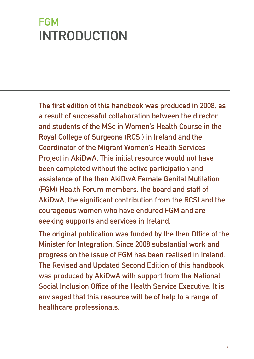# <span id="page-4-0"></span>**FGM** INTRODUCTION

The first edition of this handbook was produced in 2008, as a result of successful collaboration between the director and students of the MSc in Women's Health Course in the Royal College of Surgeons (RCSI) in Ireland and the Coordinator of the Migrant Women's Health Services Project in AkiDwA. This initial resource would not have been completed without the active participation and assistance of the then AkiDwA Female Genital Mutilation (FGM) Health Forum members, the board and staff of AkiDwA, the significant contribution from the RCSI and the courageous women who have endured FGM and are seeking supports and services in Ireland.

The original publication was funded by the then Office of the Minister for Integration. Since 2008 substantial work and progress on the issue of FGM has been realised in Ireland. The Revised and Updated Second Edition of this handbook was produced by AkiDwA with support from the National Social Inclusion Office of the Health Service Executive. It is envisaged that this resource will be of help to a range of healthcare professionals.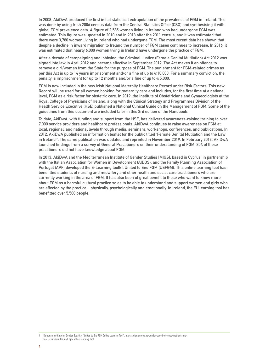In 2008, AkiDwA produced the first initial statistical extrapolation of the prevalence of FGM in Ireland. This was done by using Irish 2006 census data from the Central Statistics Office (CSO) and synthesising it with global FGM prevalence data. A figure of 2,585 women living in Ireland who had undergone FGM was estimated. This figure was updated in 2010 and in 2013 after the 2011 census, and it was estimated that there were 3,780 women living in Ireland who had undergone FGM. The most recent data has shown that despite a decline in inward migration to Ireland the number of FGM cases continues to increase. In 2016, it was estimated that nearly 6,000 women living in Ireland have undergone the practice of FGM.

After a decade of campaigning and lobbying, the Criminal Justice (Female Genital Mutilation) Act 2012 was signed into law in April 2012 and became effective in September 2012. The Act makes it an offence to remove a girl/woman from the State for the purpose of FGM. The punishment for FGM-related crimes as per this Act is up to 14 years imprisonment and/or a fine of up to €10,000. For a summary conviction, the penalty is imprisonment for up to 12 months and/or a fine of up to €5,000.

FGM is now included in the new Irish National Maternity Healthcare Record under Risk Factors. This new Record will be used for all women booking for maternity care and includes, for the first time at a national level, FGM as a risk factor for obstetric care. In 2019, the Institute of Obstetricians and Gynaecologists at the Royal College of Physicians of Ireland, along with the Clinical Strategy and Programmes Division of the Health Service Executive (HSE) published a National Clinical Guide on the Management of FGM. Some of the guidelines from this document are included later in this 3rd edition of the Handbook.

To date, AkiDwA, with funding and support from the HSE, has delivered awareness-raising training to over 7,000 service providers and healthcare professionals. AkiDwA continues to raise awareness on FGM at local, regional, and national levels through media, seminars, workshops, conferences, and publications. In 2012, AkiDwA published an information leaflet for the public titled 'Female Genital Mutilation and the Law in Ireland1 '. The same publication was updated and reprinted in November 2019. In February 2013, AkiDwA launched findings from a survey of General Practitioners on their understanding of FGM. 80% of these practitioners did not have knowledge about FGM.

In 2013, AkiDwA and the Mediterranean Institute of Gender Studies [MIGS], based in Cyprus, in partnership with the Italian Association for Women in Development (AIDOS), and the Family Planning Association of Portugal (APF) developed the E-Learning toolkit United to End FGM (UEFGM). This online learning tool has benefitted students of nursing and midwifery and other health and social care practitioners who are currently working in the area of FGM. It has also been of great benefit to those who want to know more about FGM as a harmful cultural practice so as to be able to understand and support women and girls who are affected by the practice – physically, psychologically and emotionally. In Ireland, the EU learning tool has benefitted over 5,500 people.

<sup>1</sup> European Institute for Gender Equality. "United to End FGM Online Learning Tool". https://eige.europa.eu/gender-based-violence/methods-andtools/cyprus/united-end-fgm-online-learning-tool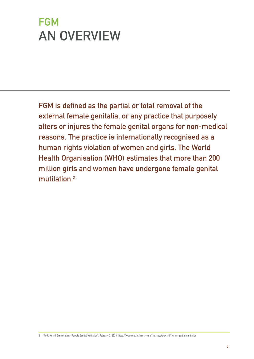# <span id="page-6-0"></span>**FGM** AN OVERVIEW

FGM is defined as the partial or total removal of the external female genitalia, or any practice that purposely alters or injures the female genital organs for non-medical reasons. The practice is internationally recognised as a human rights violation of women and girls. The World Health Organisation (WHO) estimates that more than 200 million girls and women have undergone female genital mutilation.2

<sup>2</sup> World Health Organisation. "Female Genital Mutilation". February 3, 2020. https://www.who.int/news-room/fact-sheets/detail/female-genital-mutilation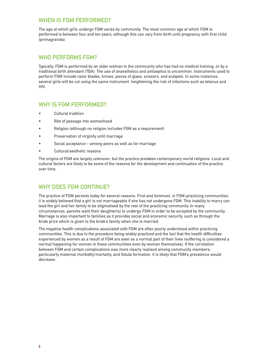#### WHEN IS FGM PERFORMED?

The age at which girls undergo FGM varies by community. The most common age at which FGM is performed is between four and ten years, although this can vary from birth until pregnancy with first child (primagravida).

#### WHO PERFORMS FGM?

Typically, FGM is performed by an older woman in the community who has had no medical training, or by a traditional birth attendant (TBA). The use of anaesthetics and antiseptics is uncommon. Instruments used to perform FGM include razor blades, knives, pieces of glass, scissors, and scalpels. In some instances, several girls will be cut using the same instrument, heightening the risk of infections such as tetanus and HIV.

#### WHY IS FGM PERFORMED?

- Cultural tradition
- Rite of passage into womanhood
- Religion (although no religion includes FGM as a requirement)
- Preservation of virginity until marriage
- Social acceptance among peers as well as for marriage
- Cultural/aesthetic reasons

The origins of FGM are largely unknown, but the practice predates contemporary world religions. Local and cultural factors are likely to be some of the reasons for the development and continuation of the practice over time.

#### WHY DOES FGM CONTINUE?

The practice of FGM persists today for several reasons. First and foremost, in FGM-practicing communities, it is widely believed that a girl is not marriageable if she has not undergone FGM. This inability to marry can lead the girl and her family to be stigmatised by the rest of the practicing community. In many circumstances, parents want their daughter(s) to undergo FGM in order to be accepted by the community. Marriage is also important to families as it provides social and economic security, such as through the bride price which is given to the bride's family when she is married.

The negative health complications associated with FGM are often poorly understood within practicing communities. This is due to the procedure being widely practiced and the fact that the health difficulties experienced by women as a result of FGM are seen as a normal part of their lives (suffering is considered a normal happening for women in these communities even by women themselves). If the correlation between FGM and certain complications was more clearly realised among community members, particularly maternal morbidity/mortality, and fistula formation, it is likely that FGM's prevalence would decrease.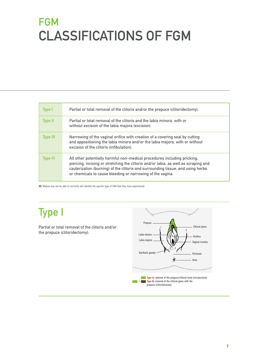# <span id="page-8-0"></span>**FGM** CLASSIFICATIONS OF FGM

| Type I         | Partial or total removal of the clitoris and/or the prepuce (clitoridectomy).                                                                                                                                                                                                                                    |
|----------------|------------------------------------------------------------------------------------------------------------------------------------------------------------------------------------------------------------------------------------------------------------------------------------------------------------------|
| <b>Type II</b> | Partial or total removal of the clitoris and the labia minora, with or<br>without excision of the labia majora (excision).                                                                                                                                                                                       |
| Type III       | Narrowing of the vaginal orifice with creation of a covering seal by cutting<br>and appositioning the labia minora and/or the labia majora, with or without<br>excision of the clitoris (infibulation).                                                                                                          |
| <b>Type IV</b> | All other potentially harmful non-medical procedures including pricking,<br>piercing, incising or stretching the clitoris and/or labia, as well as scraping and<br>cauterization (burning) of the clitoris and surrounding tissue, and using herbs<br>or chemicals to cause bleeding or narrowing of the vagina. |

NB: Women may not be able to correctly self-identify the specific type of FGM that they have experienced.

## Type I

Partial or total removal of the clitoris and/or the prepuce (clitoridectomy).

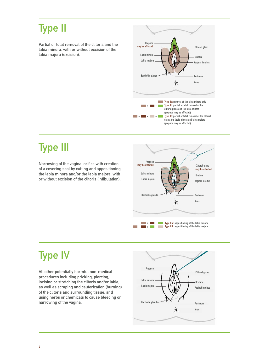### Type II

Partial or total removal of the clitoris and the labia minora, with or without excision of the labia majora (excision).



### Type III

Narrowing of the vaginal orifice with creation of a covering seal by cutting and appositioning the labia minora and/or the labia majora, with or without excision of the clitoris (infibulation).



## Type IV

All other potentially harmful non-medical procedures including pricking, piercing, incising or stretching the clitoris and/or labia, as well as scraping and cauterization (burning) of the clitoris and surrounding tissue, and using herbs or chemicals to cause bleeding or narrowing of the vagina.

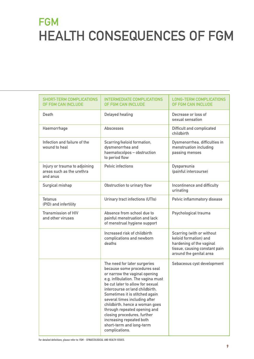# <span id="page-10-0"></span>**FGM** HEALTH CONSEQUENCES OF FGM

| <b>SHORT-TERM COMPLICATIONS</b><br>OF FGM CAN INCLUDE                  | <b>INTERMEDIATE COMPLICATIONS</b><br>OF FGM CAN INCLUDE                                                                                                                                                                                                                                                                                                                                                                                                 | <b>LONG-TERM COMPLICATIONS</b><br>OF FGM CAN INCLUDE                                                                                       |
|------------------------------------------------------------------------|---------------------------------------------------------------------------------------------------------------------------------------------------------------------------------------------------------------------------------------------------------------------------------------------------------------------------------------------------------------------------------------------------------------------------------------------------------|--------------------------------------------------------------------------------------------------------------------------------------------|
| Death                                                                  | <b>Delayed healing</b>                                                                                                                                                                                                                                                                                                                                                                                                                                  | Decrease or loss of<br>sexual sensation                                                                                                    |
| Haemorrhage                                                            | <b>Abscesses</b>                                                                                                                                                                                                                                                                                                                                                                                                                                        | <b>Difficult and complicated</b><br>childbirth                                                                                             |
| Infection and failure of the<br>wound to heal                          | Scarring/keloid formation,<br>dysmenorrhea and<br>haematocolpos - obstruction<br>to period flow                                                                                                                                                                                                                                                                                                                                                         | Dysmenorrhea, difficulties in<br>menstruation including<br>passing menses                                                                  |
| Injury or trauma to adjoining<br>areas such as the urethra<br>and anus | <b>Pelvic infections</b>                                                                                                                                                                                                                                                                                                                                                                                                                                | Dyspareunia<br>(painful intercourse)                                                                                                       |
| Surgical mishap                                                        | Obstruction to urinary flow                                                                                                                                                                                                                                                                                                                                                                                                                             | Incontinence and difficulty<br>urinating                                                                                                   |
| <b>Tetanus</b><br>(PID) and infertility                                | Urinary tract infections (UTIs)                                                                                                                                                                                                                                                                                                                                                                                                                         | Pelvic inflammatory disease                                                                                                                |
| <b>Transmission of HIV</b><br>and other viruses                        | Absence from school due to<br>painful menstruation and lack<br>of menstrual hygiene support                                                                                                                                                                                                                                                                                                                                                             | Psychological trauma                                                                                                                       |
|                                                                        | Increased risk of childbirth<br>complications and newborn<br>deaths                                                                                                                                                                                                                                                                                                                                                                                     | Scarring (with or without<br>keloid formation) and<br>hardening of the vaginal<br>tissue, causing constant pain<br>around the genital area |
|                                                                        | The need for later surgeries<br>because some procedures seal<br>or narrow the vaginal opening<br>e.g. infibulation. The vagina must<br>be cut later to allow for sexual<br>intercourse or/and childbirth.<br>Sometimes it is stitched again<br>several times including after<br>childbirth, hence a woman goes<br>through repeated opening and<br>closing procedures, further<br>increasing repeated both<br>short-term and long-term<br>complications. | Sebaceous cyst development                                                                                                                 |

For detailed definitions, please refer to: FGM – GYNAECOLOGICAL AND HEALTH ISSUES.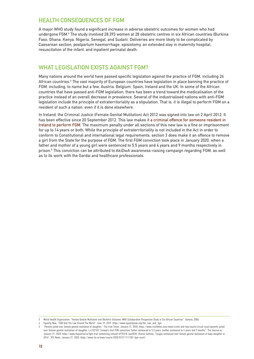#### HEALTH CONSEQUENCES OF FGM

A major WHO study found a significant increase in adverse obstetric outcomes for women who had undergone FGM.3 The study involved 28,393 women at 28 obstetric centres in six African countries (Burkina Faso, Ghana, Kenya, Nigeria, Senegal, and Sudan). Deliveries are more likely to be complicated by Caesarean section, postpartum haemorrhage, episiotomy, an extended stay in maternity hospital, resuscitation of the infant, and inpatient perinatal death.

#### WHAT LEGISLATION EXISTS AGAINST FGM?

Many nations around the world have passed specific legislation against the practice of FGM, including 26 African countries.<sup>4</sup> The vast majority of European countries have legislation in place banning the practice of FGM, including, to name but a few, Austria, Belgium, Spain, Ireland and the UK. In some of the African countries that have passed anti-FGM legislation, there has been a trend toward the medicalisation of the practice instead of an overall decrease in prevalence. Several of the industrialised nations with anti-FGM legislation include the principle of extraterritoriality as a stipulation. That is, it is illegal to perform FGM on a resident of such a nation, even if it is done elsewhere.

In Ireland, the Criminal Justice (Female Genital Mutilation) Act 2012 was signed into law on 2 April 2012. It has been effective since 20 September 2012. This law makes it a criminal offence for someone resident in Ireland to perform FGM. The maximum penalty under all sections of this new law is a fine or imprisonment for up to 14 years or both. While the principle of extraterritoriality is not included in the Act in order to conform to Constitutional and international legal requirements, section 3 does make it an offence to remove a girl from the State for the purpose of FGM. The first FGM conviction took place in January 2020, when a father and mother of a young girl were sentenced to 5.5 years and 4 years and 9 months respectively in prison.5 This conviction can be attributed to AkiDwA awareness-raising campaign regarding FGM, as well as to its work with the Gardai and healthcare professionals.

<sup>3</sup> World Health Organization. "Female Genital Mutilation and Obstetric Outcome: WHO Collaborative Prospective Study in Six African Countries". Geneva, 2006.

Equality Now. "FGM And The Law Around The World". June 19, 2019. https://www.equalitynow.org/the\_law\_and\_fgm

<sup>5 &</sup>quot;Parents jailed over female genital mutilation of daughter." The Irish Times. January 27, 2020. https://www.irishtimes.com/news/crime-and-law/courts/circuit-court/parents-jailedover-female-genital-mutilation-of-daughter-1.4152765 "Ireland's first FGM conviction: Father sentenced to 5.5 years, mother sentenced to 4 years and 9 months". The Journal.ie. January 27, 2020. https://www.thejournal.ie/fgm-trial-sentencing-ireland-4975318-Jan2020/ Sharon Gaffney. "Couple sentenced over female genital mutilation of baby daughter in 2016". RTE News. January 27, 2020. https://www.rte.ie/news/courts/2020/0127/1111201-fgm-court/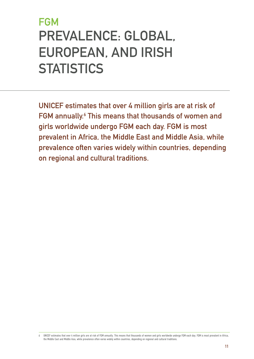# <span id="page-12-0"></span>**FGM** PREVALENCE: GLOBAL, EUROPEAN, AND IRISH **STATISTICS**

UNICEF estimates that over 4 million girls are at risk of FGM annually.<sup>6</sup> This means that thousands of women and girls worldwide undergo FGM each day. FGM is most prevalent in Africa, the Middle East and Middle Asia, while prevalence often varies widely within countries, depending on regional and cultural traditions.

<sup>6</sup> UNICEF estimates that over 4 million girls are at risk of FGM annually. This means that thousands of women and girls worldwide undergo FGM each day. FGM is most prevalent in Africa, the Middle East and Middle Asia, while prevalence often varies widely within countries, depending on regional and cultural traditions.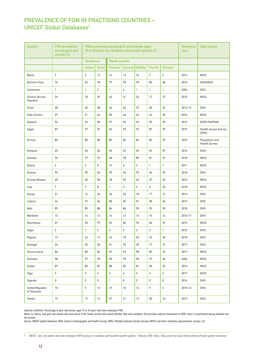### PREVALENCE OF FGM IN PRACTISING COUNTRIES – UNICEF Global Databases7

| <b>Country</b>                        | <b>FGM</b> prevalence<br>among girls and<br>women $(\%)$ | FGM prevalence among girls and women aged<br>15 to 49 years, by residence and wealth quintile (%) |                |                       |                |                | Reference<br>year | Data source    |         |                                        |
|---------------------------------------|----------------------------------------------------------|---------------------------------------------------------------------------------------------------|----------------|-----------------------|----------------|----------------|-------------------|----------------|---------|----------------------------------------|
|                                       |                                                          | <b>Residence</b>                                                                                  |                | <b>Weath quintile</b> |                |                |                   |                |         |                                        |
|                                       |                                                          | Urban                                                                                             | Rural          | <b>Poorest</b>        | Second         | Middle         | <b>Fourth</b>     | <b>Richest</b> |         |                                        |
| Benin                                 | 9                                                        | 5                                                                                                 | 13             | 16                    | 14             | 10             | $7\overline{ }$   | $\overline{2}$ | 2014    | <b>MICS</b>                            |
| <b>Burkino Faso</b>                   | 76                                                       | 69                                                                                                | 78             | 77                    | 78             | 78             | 80                | 68             | 2010    | DHS/MICS                               |
| Cameroon                              | $\mathbf{1}$                                             | $\mathbf{1}$                                                                                      | $\overline{2}$ | $\mathbf{1}$          | 4              | $\mathbf{1}$   | $\mathbf{1}$      | 1              | 2004    | <b>DHS</b>                             |
| Central African<br>Republic           | 24                                                       | 18                                                                                                | 29             | 34                    | 31             | 26             | 17                | 15             | 2010    | <b>MICS</b>                            |
| Chad                                  | 38                                                       | 40                                                                                                | 38             | 46                    | 42             | 37             | 30                | 37             | 2014-15 | DHS                                    |
| Côte d'Ivoire                         | 37                                                       | 31                                                                                                | 44             | 50                    | 44             | 43             | 34                | 20             | 2016    | <b>MICS</b>                            |
| Djibouti                              | 94                                                       | 94                                                                                                | 98             | 97                    | 96             | 94             | 95                | 93             | 2012    | EDSF/PAPFAM                            |
| Egypt                                 | 87                                                       | 77                                                                                                | 93             | 94                    | 93             | 92             | 87                | 70             | 2015    | <b>Health Issues Survey</b><br>(DHS)   |
| Eritrea                               | 83                                                       | 80                                                                                                | 85             | 89                    | 86             | 84             | 83                | 75             | 2010    | Population and<br><b>Health Survey</b> |
| Ethiopia                              | 65                                                       | 54                                                                                                | 68             | 65                    | 69             | 69             | 69                | 57             | 2016    | DHS                                    |
| Gambia                                | 76                                                       | 77                                                                                                | 72             | 68                    | 78             | 85             | 81                | 67             | 2018    | <b>MICS</b>                            |
| Ghana                                 | 4                                                        | 3                                                                                                 | 5              | 13                    | 4              | 3              | $\mathbf{1}$      | $\mathbf{1}$   | 2011    | <b>MICS</b>                            |
| Guinea                                | 95                                                       | 95                                                                                                | 94             | 95                    | 94             | 93             | 96                | 95             | 2018    | <b>DHS</b>                             |
| Guinea-Bissau                         | 45                                                       | 40                                                                                                | 50             | 18                    | 59             | 65             | 47                | 36             | 2014    | <b>MICS</b>                            |
| Iraq                                  | $7\phantom{.}$                                           | $7\phantom{.}$                                                                                    | 8              | $\mathbf{1}$          | 3              | 3              | 6                 | 22             | 2018    | <b>MICS</b>                            |
| Kenya                                 | 21                                                       | 14                                                                                                | 26             | 40                    | 26             | 18             | 17                | 12             | 2014    | <b>DHS</b>                             |
| Liberia                               | 44                                                       | 37                                                                                                | 56             | 58                    | 56             | 51             | 38                | 26             | 2013    | DHS                                    |
| Mali                                  | 89                                                       | 89                                                                                                | 88             | 86                    | 86             | 90             | 90                | 90             | 2018    | <b>DHS</b>                             |
| Maldives                              | 13                                                       | 14                                                                                                | 12             | 14                    | 12             | 12             | 15                | 12             | 2016-17 | <b>DHS</b>                             |
| Mauritania                            | 67                                                       | 55                                                                                                | 79             | 92                    | 86             | 70             | 60                | 37             | 2015    | <b>MICS</b>                            |
| Niger                                 | $\mathbf 2$                                              | $\mathbf{1}$                                                                                      | $\overline{2}$ | $\overline{2}$        | $\overline{2}$ | $\overline{c}$ | 3                 | 1              | 2012    | <b>DHS</b>                             |
| Nigeria                               | 19                                                       | 24                                                                                                | 16             | 16                    | 18             | 20             | 23                | 20             | 2018    | DHS                                    |
| Senegal                               | 24                                                       | 20                                                                                                | 28             | 41                    | 30             | 25             | 17                | 14             | 2017    | <b>DHS</b>                             |
| Sierra Leone                          | 86                                                       | 80                                                                                                | 82             | 93                    | 93             | 90             | 85                | 74             | 2017    | <b>MICS</b>                            |
| Somalia                               | 98                                                       | 97                                                                                                | 98             | 98                    | 99             | 98             | 97                | 96             | 2006    | <b>MICS</b>                            |
| Sudan                                 | 87                                                       | 85                                                                                                | 87             | 88                    | 82             | 81             | 90                | 92             | 2014    | <b>MICS</b>                            |
| Togo                                  | 3                                                        | 3                                                                                                 | 4              | 4                     | $\sqrt{4}$     | $\mathbf{3}$   | 4                 | $\sqrt{2}$     | 2017    | <b>MICS</b>                            |
| Uganda                                | $\mathsf 0$                                              | $\mathsf{O}\xspace$                                                                               | 0              | $\mathbf{1}$          | $\mathbf 0$    | 0              | 0                 | $\mathbb O$    | 2016    | DHS                                    |
| <b>United Republic</b><br>of Tanzania | $10\,$                                                   | 5                                                                                                 | 13             | 19                    | $10$           | 12             | 9                 | $\sqrt{4}$     | 2015-16 | <b>DHS</b>                             |
| Yemen                                 | 19                                                       | 17                                                                                                | 19             | 27                    | 21             | 13             | $20\,$            | 14             | 2013    | DHS                                    |

Indicator definition: Percentage of girls and women aged 15 to 49 years who have undergone FGM.

Notes: In Liberia, only girls and women who have heard of the Sande society were asked whether they were members; this provides indirect information on FGM, since it is performed during initiation into the society.

Source: UNICEF global databases 2020, based on Demographic and Health Surveys (DHS), Multiple Indicator Cluster Surveys (MICS) and other nationally representative surveys. [2]

7 UNICEF. "Girls and women who have undergone FGM (by place of residence and household wealth quintile)". February 2020. https://data.unicef.org/topic/child-protection/female-genital-mutilation/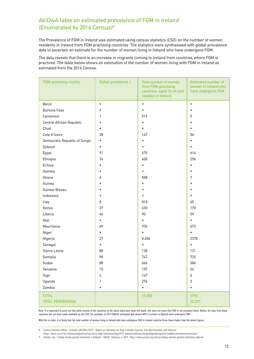### AkiDwA table on estimated prevalence of FGM in Ireland (Enumerated by 2016 Census)8

The Prevalence of FGM in Ireland was estimated using census statistics (CSO) on the number of women residents in Ireland from FGM practising countries. The statistics were synthesised with global prevalence data to ascertain an estimate for the number of women living in Ireland who have undergone FGM.

The data reveals that there is an increase in migrants coming to Ireland from countries where FGM is practiced. The table below shows an estimation of the number of women living with FGM in Ireland as estimated from the 2016 Census.

| Benin<br>$\bullet$<br>$\bullet$<br>$\bullet$<br><b>Burkina Faso</b><br>$\bullet$<br>519<br>5<br>Cameroon<br>1 |  |
|---------------------------------------------------------------------------------------------------------------|--|
|                                                                                                               |  |
|                                                                                                               |  |
|                                                                                                               |  |
| <b>Central African Republic</b><br>$\bullet$<br>$\bullet$                                                     |  |
| Chad<br>$\bullet$<br>$\bullet$<br>$\bullet$                                                                   |  |
| Cote d'Ivoire<br>38<br>147<br>56                                                                              |  |
| <b>Democratic Republic of Congo</b><br>$\bullet$<br>$\bullet$<br>$\bullet$                                    |  |
| Djibouti<br>$\bullet$<br>$\bullet$                                                                            |  |
| 91<br>Egypt<br>675<br>614                                                                                     |  |
| 400<br>296<br>Ethiopia<br>74                                                                                  |  |
| Eritrea<br>$\bullet$<br>$\bullet$                                                                             |  |
| Gambia<br>$\bullet$<br>$\bullet$<br>$\bullet$                                                                 |  |
| Ghana<br>558<br>7<br>4                                                                                        |  |
| Guinea<br>$\bullet$                                                                                           |  |
| Guinea-Bissau<br>$\bullet$<br>$\bullet$<br>$\bullet$                                                          |  |
| Indonesia<br>$\bullet$                                                                                        |  |
| 818<br>8<br>65<br>Iraq                                                                                        |  |
| 27<br>630<br>170<br>Kenya                                                                                     |  |
| Liberia<br>90<br>59<br>66                                                                                     |  |
| Mali<br>$\bullet$<br>$\bullet$<br>$\bullet$                                                                   |  |
| Mauritania<br>976<br>69<br>673                                                                                |  |
| Niger<br>$\bullet$<br>$\bullet$<br>$\bullet$                                                                  |  |
| 27<br>8,606<br>2378<br>Nigeria                                                                                |  |
| Senegal<br>$\bullet$<br>$\bullet$<br>$\bullet$                                                                |  |
| Sierra Leone<br>138<br>121<br>88                                                                              |  |
| 747<br>Somalia<br>98<br>732                                                                                   |  |
| Sudan<br>88<br>666<br>586                                                                                     |  |
| 15<br>24<br>Tanzania<br>157                                                                                   |  |
| 147<br>Togo<br>4<br>6                                                                                         |  |
| Uganda<br>276<br>$\sqrt{3}$<br>1                                                                              |  |
| Zambia<br>$\bullet$<br>$\bullet$<br>$\bullet$                                                                 |  |
| <b>TOTAL</b><br>15,550<br>5795                                                                                |  |
| <b>TOTAL PERCENTAGE</b><br>32.27%                                                                             |  |

Note: It is important to point out that while several of the countries in the above table have been left blank, this does not mean that FGM is not prevalent there. Rather, the data from these countries has not been made available by the CSO. For example, in 2019 UNICEF estimated that almost 80% of women in Djibouti have undergone FGM.9

With this in mind, it is likely that the total number of women living in Ireland who have undergone FGM in Ireland could be three times higher than the above figures.

9 Gilliam, Eva. "Ending female genital mutilation in Djibouti". UNICEF. February 6, 2019. https://www.unicef.org/stories/ending-female-genital-mutilation-djibouti

<sup>8</sup> Central Statistics Office. "Ireland's UN SDGs 2019 - Report on Indicators for Goal 5 Gender Equality. End discrimination and violence".

https://www.cso.ie/en/releasesandpublications/ep/p-sdg5/irelandsunsdgs2019-reportonindicatorsforgoal5genderequality/enddiscriminationandviolence/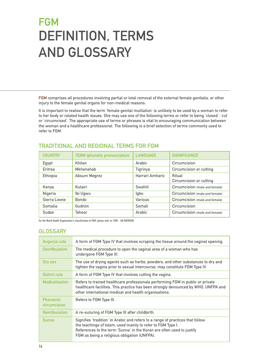# <span id="page-15-0"></span>**FGM** DEFINITION, TERMS AND GLOSSARY

FGM comprises all procedures involving partial or total removal of the external female genitalia, or other injury to the female genital organs for non-medical reasons.

It is important to realise that the term 'female genital mutilation' is unlikely to be used by a woman to refer to her body or related health issues. She may use one of the following terms or refer to being 'closed', 'cut' or 'circumcised'. The appropriate use of terms or phrases is vital to encouraging communication between the woman and a healthcare professional. The following is a brief selection of terms commonly used to refer to FGM.

| <b>COUNTRY</b> | <b>TERM</b> (phonetic pronunciation) | <b>LANGUAGE</b> | <b>SIGNIFICANCE</b>                      |
|----------------|--------------------------------------|-----------------|------------------------------------------|
| Egypt          | Khitan                               | Arabic          | Circumcision                             |
| Eritrea        | <b>Mkhenshab</b>                     | Tigrinya        | <b>Circumcision or cutting</b>           |
| Ethiopia       | <b>Absum Megrez</b>                  | Harrari Amharic | Ritual<br><b>Circumcision or cutting</b> |
| Kenya          | Kutairi                              | Swahili         | Circumcision (male and female)           |
| Nigeria        | Ibi Ugwu                             | lgbo            | Circumcision (male and female)           |
| Sierra Leone   | <b>Bondo</b>                         | Various         | Circumcision (male and female)           |
| Somalia        | Gudniin                              | Somali          | Circumcision                             |
| Sudan          | Tahoor                               | Arabic          | Circumcision (male and female)           |

### TRADITIONAL AND REGIONAL TERMS FOR FGM

For the World Health Organization's classification of FGM, please refer to: FGM – AN OVERVIEW.

#### **GLOSSARY**

| Angurya cuts                     | A form of FGM Type IV that involves scraping the tissue around the vaginal opening.                                                                                                                                                                                    |
|----------------------------------|------------------------------------------------------------------------------------------------------------------------------------------------------------------------------------------------------------------------------------------------------------------------|
| <b>Deinfibulation</b>            | The medical procedure to open the vaginal area of a woman who has<br>undergone FGM Type III.                                                                                                                                                                           |
| Dry sex                          | The use of drying agents such as herbs, powders, and other substances to dry and<br>tighten the vagina prior to sexual intercourse; may constitute FGM Type IV.                                                                                                        |
| Gishiri cuts                     | A form of FGM Type IV that involves cutting the vagina.                                                                                                                                                                                                                |
| <b>Medicalisation</b>            | Refers to trained healthcare professionals performing FGM in public or private<br>healthcare facilities. This practice has been strongly denounced by WHO, UNFPA and<br>other international medical and health organisations.                                          |
| <b>Pharaonic</b><br>circumcision | Refers to FGM Type III.                                                                                                                                                                                                                                                |
| <b>Reinfibulation</b>            | A re-suturing of FGM Type III after childbirth.                                                                                                                                                                                                                        |
| <b>Sunna</b>                     | Signifies 'tradition' in Arabic and refers to a range of practices that follow<br>the teachings of Islam; used mainly to refer to FGM Type I.<br>References to the term 'Sunna' in the Koran are often used to justify<br>FGM as being a religious obligation (UNFPA). |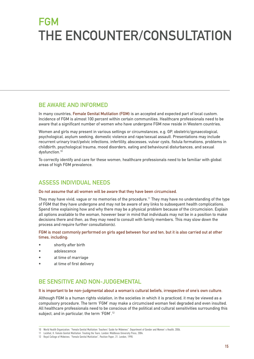# <span id="page-16-0"></span>**FGM** THE ENCOUNTER/CONSULTATION

#### BE AWARE AND INFORMED

In many countries, Female Genital Mutilation (FGM) is an accepted and expected part of local custom. Incidence of FGM is almost 100 percent within certain communities. Healthcare professionals need to be aware that a significant number of women who have undergone FGM now reside in Western countries.

Women and girls may present in various settings or circumstances, e.g. GP, obstetric/gynaecological, psychological, asylum seeking, domestic violence and rape/sexual assault. Presentations may include recurrent urinary tract/pelvic infections, infertility, abscesses, vulvar cysts, fistula formations, problems in childbirth, psychological trauma, mood disorders, eating and behavioural disturbances, and sexual dysfunction.<sup>10</sup>

To correctly identify and care for these women, healthcare professionals need to be familiar with global areas of high FGM prevalence.

#### ASSESS INDIVIDUAL NEEDS

#### Do not assume that all women will be aware that they have been circumcised.

They may have vivid, vague or no memories of the procedure.11 They may have no understanding of the type of FGM that they have undergone and may not be aware of any links to subsequent health complications. Spend time explaining how and why there may be a physical problem because of the circumcision. Explain all options available to the woman, however bear in mind that individuals may not be in a position to make decisions there and then, as they may need to consult with family members. This may slow down the process and require further consultation(s).

FGM is most commonly performed on girls aged between four and ten, but it is also carried out at other times, including:

- shortly after birth
- adolescence
- at time of marriage
- at time of first delivery

#### BE SENSITIVE AND NON-JUDGEMENTAL

#### It is important to be non-judgmental about a woman's cultural beliefs, irrespective of one's own culture.

Although FGM is a human rights violation, in the societies in which it is practiced, it may be viewed as a compulsory procedure. The term 'FGM' may make a circumcised woman feel degraded and even insulted. All healthcare professionals need to be conscious of the political and cultural sensitivities surrounding this subject, and in particular, the term 'FGM'.12

<sup>10</sup> World Health Organization. "Female Genital Mutilation: Teachers' Guide for Midwives". Department of Gender and Women' s Health, 2006.

<sup>11</sup> Lockhat, H. Female Genital Mutilation: Treating the Tears. London: Middlesex University Press, 2004.

<sup>12</sup> Royal College of Midwives. "Female Genital Mutilation", Position Paper, 21. London, 1998.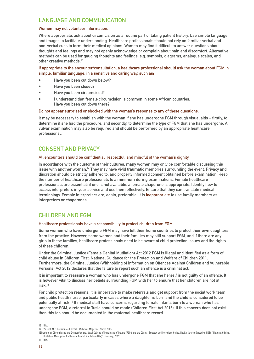### LANGUAGE AND COMMUNICATION

#### Women may not volunteer information.

Where appropriate, ask about circumcision as a routine part of taking patient history. Use simple language and images to facilitate understanding. Healthcare professionals should not rely on familiar verbal and non-verbal cues to form their medical opinions. Women may find it difficult to answer questions about thoughts and feelings and may not openly acknowledge or complain about pain and discomfort. Alternative methods can be used for gauging thoughts and feelings, e.g. symbols, diagrams, analogue scales, and other creative methods.<sup>13</sup>

If appropriate to the encounter/consultation, a healthcare professional should ask the woman about FGM in simple, familiar language, in a sensitive and caring way, such as:

- Have you been cut down below?
- Have you been closed?
- Have you been circumcised?
- I understand that female circumcision is common in some African countries. Have you been cut down there?

#### Do not appear surprised or shocked with the woman's response to any of these questions.

It may be necessary to establish with the woman if she has undergone FGM through visual aids – firstly, to determine if she had the procedure, and secondly, to determine the type of FGM that she has undergone. A vulvar examination may also be required and should be performed by an appropriate healthcare professional.

#### CONSENT AND PRIVACY

#### All encounters should be confidential, respectful, and mindful of the woman's dignity.

In accordance with the customs of their cultures, many women may only be comfortable discussing this issue with another woman.14 They may have vivid traumatic memories surrounding the event. Privacy and discretion should be strictly adhered to, and properly informed consent obtained before examination. Keep the number of healthcare professionals to a minimum during examinations. Female healthcare professionals are essential; if one is not available, a female chaperone is appropriate. Identify how to access interpreters in your service and use them effectively. Ensure that they can translate medical terminology. Female interpreters are, again, preferable. It is inappropriate to use family members as interpreters or chaperones.

#### CHILDREN AND FGM

#### Healthcare professionals have a responsibility to protect children from FGM.

Some women who have undergone FGM may have left their home countries to protect their own daughters from the practice. However, some women and their families may still support FGM, and if there are any girls in these families, healthcare professionals need to be aware of child protection issues and the rights of these children.

Under the Criminal Justice (Female Genital Mutilation) Act 2012 FGM is illegal and identified as a form of child abuse in Children First: National Guidance for the Protection and Welfare of Children 2011. Furthermore, the Criminal Justice (Withholding of Information on Offences Against Children and Vulnerable Persons) Act 2012 declares that the failure to report such an offence is a criminal act.

It is important to reassure a woman who has undergone FGM that she herself is not guilty of an offence. It is however vital to discuss her beliefs surrounding FGM with her to ensure that her children are not at risk.15

For child protection reasons, it is imperative to make referrals and get support from the social work team and public health nurse, particularly in cases where a daughter is born and the child is considered to be potentially at risk.16 If medical staff have concerns regarding female infants born to a woman who has undergone FGM, a referral to Tusla should be made (Children First Act 2015). If this concern does not exist then this too should be documented in the maternal healthcare record.

<sup>13</sup> Ibid.

<sup>14</sup> Vincent, M. "The Mutilated Orchid". Midwives Magazine, March 2005.

<sup>15</sup>Institute of Obstetricians and Gynaecologists, Royal College of Physicians of Ireland (RCPI) and the Clinical Strategy and Provisions Office, Health Service Executive (HSE). "National Clinical Guideline, Management of Female Genital Mutilation (FGM)". February, 2019. 16 Ibid.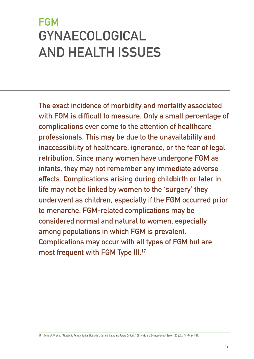# <span id="page-18-0"></span>**FGM** GYNAECOLOGICAL AND HEALTH ISSUES

The exact incidence of morbidity and mortality associated with FGM is difficult to measure. Only a small percentage of complications ever come to the attention of healthcare professionals. This may be due to the unavailability and inaccessibility of healthcare, ignorance, or the fear of legal retribution. Since many women have undergone FGM as infants, they may not remember any immediate adverse effects. Complications arising during childbirth or later in life may not be linked by women to the 'surgery' they underwent as children, especially if the FGM occurred prior to menarche. FGM-related complications may be considered normal and natural to women, especially among populations in which FGM is prevalent. Complications may occur with all types of FGM but are most frequent with FGM Type III.17

17 Elchahal, U. et al. "Ritualistic Female Genital Mutilation: Current Status and Future Outlook". Obstetric and Gynaecological Survey, 52 (USA, 1997), 643-51.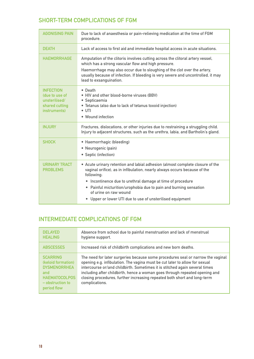### SHORT-TERM COMPLICATIONS OF FGM

| <b>AGONISING PAIN</b>                                                                 | Due to lack of anaesthesia or pain-relieving medication at the time of FGM<br>procedure.                                                                                                                                                                                                                                                                                                                     |
|---------------------------------------------------------------------------------------|--------------------------------------------------------------------------------------------------------------------------------------------------------------------------------------------------------------------------------------------------------------------------------------------------------------------------------------------------------------------------------------------------------------|
| <b>DEATH</b>                                                                          | Lack of access to first aid and immediate hospital access in acute situations.                                                                                                                                                                                                                                                                                                                               |
| <b>HAEMORRHAGE</b>                                                                    | Amputation of the clitoris involves cutting across the clitoral artery vessel,<br>which has a strong vascular flow and high pressure.<br>Haemorrhage may also occur due to sloughing of the clot over the artery,<br>usually because of infection. If bleeding is very severe and uncontrolled, it may<br>lead to exsanguination.                                                                            |
| <b>INFECTION</b><br>(due to use of<br>unsterilised/<br>shared cutting<br>instruments) | • Death<br>. HIV and other blood-borne viruses (BBV)<br>· Septicaemia<br>• Tetanus (also due to lack of tetanus toxoid injection)<br>$\bullet$ UTI<br>• Wound infection                                                                                                                                                                                                                                      |
| <b>INJURY</b>                                                                         | Fractures, dislocations, or other injuries due to restraining a struggling child.<br>Injury to adjacent structures, such as the urethra, labia, and Bartholin's gland.                                                                                                                                                                                                                                       |
| <b>SHOCK</b>                                                                          | • Haemorrhagic (bleeding)<br>• Neurogenic (pain)<br>• Septic (infection)                                                                                                                                                                                                                                                                                                                                     |
| <b>URINARY TRACT</b><br><b>PROBLEMS</b>                                               | • Acute urinary retention and labial adhesion (almost complete closure of the<br>vaginal orifice), as in infibulation, nearly always occurs because of the<br>following:<br>• Incontinence due to urethral damage at time of procedure<br>• Painful micturition/urophobia due to pain and burning sensation<br>of urine on raw wound<br>Upper or lower UTI due to use of unsterilised equipment<br>$\bullet$ |

### INTERMEDIATE COMPLICATIONS OF FGM

| <b>DELAYED</b><br><b>HEALING</b>                                                                                                 | Absence from school due to painful menstruation and lack of menstrual<br>hygiene support.                                                                                                                                                                                                                                                                                                                                  |
|----------------------------------------------------------------------------------------------------------------------------------|----------------------------------------------------------------------------------------------------------------------------------------------------------------------------------------------------------------------------------------------------------------------------------------------------------------------------------------------------------------------------------------------------------------------------|
| <b>ABSCESSES</b>                                                                                                                 | Increased risk of childbirth complications and new born deaths.                                                                                                                                                                                                                                                                                                                                                            |
| <b>SCARRING</b><br>(keloid formation)<br><b>DYSMENORRHEA</b><br>and<br><b>HAEMATOCOLPOS</b><br>$-$ obstruction to<br>period flow | The need for later surgeries because some procedures seal or narrow the vaginal<br>opening e.g. infibulation. The vagina must be cut later to allow for sexual<br>intercourse or/and childbirth. Sometimes it is stitched again several times<br>including after childbirth, hence a woman goes through repeated opening and<br>closing procedures, further increasing repeated both short and long-term<br>complications. |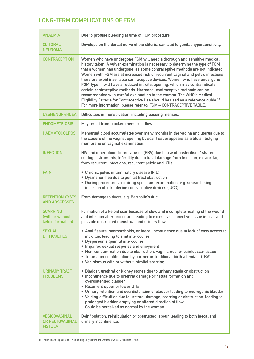### LONG-TERM COMPLICATIONS OF FGM

| <b>ANAEMIA</b>                                                   | Due to profuse bleeding at time of FGM procedure.                                                                                                                                                                                                                                                                                                                                                                                                                                                                                                                                                                                                                                                                                                                                                                |
|------------------------------------------------------------------|------------------------------------------------------------------------------------------------------------------------------------------------------------------------------------------------------------------------------------------------------------------------------------------------------------------------------------------------------------------------------------------------------------------------------------------------------------------------------------------------------------------------------------------------------------------------------------------------------------------------------------------------------------------------------------------------------------------------------------------------------------------------------------------------------------------|
| <b>CLITORAL</b><br><b>NEUROMA</b>                                | Develops on the dorsal nerve of the clitoris; can lead to genital hypersensitivity.                                                                                                                                                                                                                                                                                                                                                                                                                                                                                                                                                                                                                                                                                                                              |
| <b>CONTRACEPTION</b>                                             | Women who have undergone FGM will need a thorough and sensitive medical<br>history taken. A vulvar examination is necessary to determine the type of FGM<br>that a woman has undergone, as some contraceptive methods are not indicated.<br>Women with FGM are at increased risk of recurrent vaginal and pelvic infections,<br>therefore avoid insertable contraceptive devices. Women who have undergone<br>FGM Type III will have a reduced introital opening, which may contraindicate<br>certain contraceptive methods. Hormonal contraceptive methods can be<br>recommended with careful explanation to the woman. The WHO's Medical<br>Eligibility Criteria for Contraceptive Use should be used as a reference guide. <sup>18</sup><br>For more information, please refer to: FGM - CONTRACEPTIVE TABLE. |
| <b>DYSMENORRHOEA</b>                                             | Difficulties in menstruation, including passing menses.                                                                                                                                                                                                                                                                                                                                                                                                                                                                                                                                                                                                                                                                                                                                                          |
| <b>ENDOMETRIOSIS</b>                                             | May result from blocked menstrual flow.                                                                                                                                                                                                                                                                                                                                                                                                                                                                                                                                                                                                                                                                                                                                                                          |
| <b>HAEMATOCOLPOS</b>                                             | Menstrual blood accumulates over many months in the vagina and uterus due to<br>the closure of the vaginal opening by scar tissue; appears as a bluish bulging<br>membrane on vaginal examination.                                                                                                                                                                                                                                                                                                                                                                                                                                                                                                                                                                                                               |
| <b>INFECTION</b>                                                 | HIV and other blood-borne viruses (BBV) due to use of unsterilised/ shared<br>cutting instruments, infertility due to tubal damage from infection, miscarriage<br>from recurrent infections, recurrent pelvic and UTIs.                                                                                                                                                                                                                                                                                                                                                                                                                                                                                                                                                                                          |
| <b>PAIN</b>                                                      | • Chronic pelvic inflammatory disease (PID)<br>· Dysmenorrhea due to genital tract obstruction<br>· During procedures requiring speculum examination, e.g. smear-taking,<br>insertion of intrauterine contraceptive devices (IUCD)                                                                                                                                                                                                                                                                                                                                                                                                                                                                                                                                                                               |
| <b>RETENTION CYSTS</b><br><b>AND ABSCESSES</b>                   | From damage to ducts, e.g. Bartholin's duct.                                                                                                                                                                                                                                                                                                                                                                                                                                                                                                                                                                                                                                                                                                                                                                     |
| <b>SCARRING</b><br>(with or without<br>keloid formation)         | Formation of a keloid scar because of slow and incomplete healing of the wound<br>and infection after procedure, leading to excessive connective tissue in scar and<br>possible obstructed menstrual and urinary flow.                                                                                                                                                                                                                                                                                                                                                                                                                                                                                                                                                                                           |
| <b>SEXUAL</b><br><b>DIFFICULTIES</b>                             | • Anal fissure, haemorrhoids, or faecal incontinence due to lack of easy access to<br>introitus, leading to anal intercourse<br>· Dyspareunia (painful intercourse)<br>• Impaired sexual response and enjoyment<br>. Non-consummation due to obstruction, vaginismus, or painful scar tissue<br>• Trauma on deinfibulation by partner or traditional birth attendant (TBA)<br>• Vaginismus with or without introital scarring                                                                                                                                                                                                                                                                                                                                                                                    |
| <b>URINARY TRACT</b><br><b>PROBLEMS</b>                          | • Bladder, urethral or kidney stones due to urinary stasis or obstruction<br>• Incontinence due to urethral damage or fistula formation and<br>overdistended bladder<br>• Recurrent upper or lower UTIs<br>• Urinary retention and overdistension of bladder leading to neurogenic bladder<br>. Voiding difficulties due to urethral damage, scarring or obstruction, leading to<br>prolonged bladder-emptying or altered direction of flow.<br>Could be perceived as normal by the woman                                                                                                                                                                                                                                                                                                                        |
| <b>VESICOVAGINAL</b><br><b>OR RECTOVAGINAL</b><br><b>FISTULA</b> | Deinfibulation, reinfibulation or obstructed labour, leading to both faecal and<br>urinary incontinence.                                                                                                                                                                                                                                                                                                                                                                                                                                                                                                                                                                                                                                                                                                         |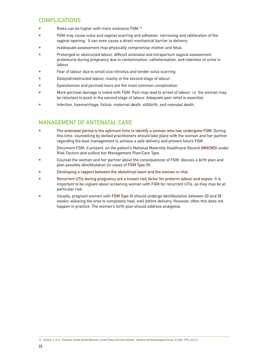### **COMPLICATIONS**

- Risks can be higher with more extensive FGM.<sup>19</sup>
- FGM may cause vulva and vaginal scarring and adhesion, narrowing and obliteration of the vaginal opening. It can even cause a direct mechanical barrier to delivery.
- Inadequate assessment may physically compromise mother and fetus.
- Prolonged or obstructed labour, difficult antenatal and intrapartum vaginal assessment, proteinuria during pregnancy due to contamination, catheterisation, and retention of urine in labour.
- Fear of labour due to small size introitus and tender vulva scarring.
- Delayed/obstructed labour, mainly in the second stage of labour.
- Episiotomies and perineal tears are the most common complication.
- More perineal damage is noted with FGM. Pain may lead to arrest of labour, i.e. the woman may be reluctant to push in the second stage of labour. Adequate pain relief is essential.
- Infection, haemorrhage, fistula, maternal death, stillbirth, and neonatal death.

### MANAGEMENT OF ANTENATAL CARE

- The antenatal period is the optimum time to identify a woman who has undergone FGM. During this time, counselling by skilled practitioners should take place with the woman and her partner regarding the best management to achieve a safe delivery and prevent future FGM.
- Document FGM, if present, on the patient's National Maternity Healthcare Record (MNCMS) under Risk Factors and outline her Management Plan/Care Type.
- Counsel the woman and her partner about the consequences of FGM, discuss a birth plan and plan possible deinfibulation (in cases of FGM Type III).
- Developing a rapport between the obstetrical team and the woman is vital.
- Recurrent UTIs during pregnancy are a known risk factor for preterm labour and sepsis. It is important to be vigilant about screening women with FGM for recurrent UTIs, as they may be at particular risk.
- Usually, pregnant women with FGM Type III should undergo deinfibulation between 20 and 28 weeks, allowing the area to completely heal, well before delivery. However, often this does not happen in practice. The woman's birth plan should address analgesia.

19 Elchalal, U. et al. "Ritualistic Female Genital Mutilation: Current Status and Future Outlook". Obstetric and Gynaecological Survey, 52 (USA, 1997), 643-51.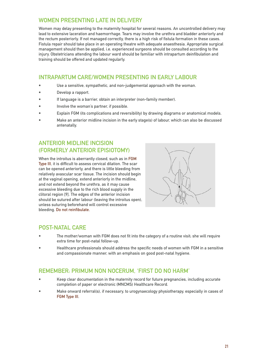### WOMEN PRESENTING LATE IN DELIVERY

Women may delay presenting to the maternity hospital for several reasons. An uncontrolled delivery may lead to extensive laceration and haemorrhage. Tears may involve the urethra and bladder anteriorly and the rectum posteriorly. If not managed correctly, there is a high risk of fistula formation in these cases. Fistula repair should take place in an operating theatre with adequate anaesthesia. Appropriate surgical management should then be applied, i.e. experienced surgeons should be consulted according to the injury. Obstetricians attending the labour ward should be familiar with intrapartum deinfibulation and training should be offered and updated regularly.

### INTRAPARTUM CARE/WOMEN PRESENTING IN EARLY LABOUR

- Use a sensitive, sympathetic, and non-judgemental approach with the woman.
- Develop a rapport.
- If language is a barrier, obtain an interpreter (non-family member).
- Involve the woman's partner, if possible.
- Explain FGM (its complications and reversibility) by drawing diagrams or anatomical models.
- Make an anterior midline incision in the early stage(s) of labour, which can also be discussed antenatally.

### ANTERIOR MIDLINE INCISION (FORMERLY ANTERIOR EPISIOTOMY)

When the introitus is aberrantly closed, such as in FGM Type III, it is difficult to assess cervical dilation. The scar can be opened anteriorly, and there is little bleeding from relatively avascular scar tissue. The incision should begin at the vaginal opening, extend anteriorly in the midline, and not extend beyond the urethra, as it may cause excessive bleeding due to the rich blood supply in the clitoral region [9]. The edges of the anterior incision should be sutured after labour (leaving the introitus open), unless suturing beforehand will control excessive bleeding. Do not reinfibulate.



#### POST-NATAL CARE

- The mother/woman with FGM does not fit into the category of a routine visit; she will require extra time for post-natal follow-up.
- Healthcare professionals should address the specific needs of women with FGM in a sensitive and compassionate manner, with an emphasis on good post-natal hygiene.

### REMEMBER: PRIMUM NON NOCERUM, 'FIRST DO NO HARM'

- Keep clear documentation in the maternity record for future pregnancies, including accurate completion of paper or electronic (MNCMS) Healthcare Record.
- Make onward referral(s), if necessary, to urogynaecology physiotherapy, especially in cases of FGM Type III.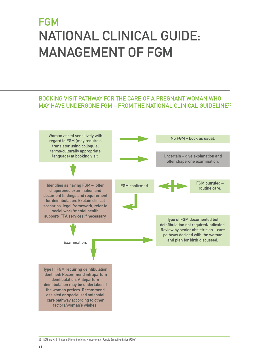# <span id="page-23-0"></span>**FGM** NATIONAL CLINICAL GUIDE: MANAGEMENT OF FGM

#### BOOKING VISIT PATHWAY FOR THE CARE OF A PREGNANT WOMAN WHO MAY HAVE UNDERGONE FGM - FROM THE NATIONAL CLINICAL GUIDELINE<sup>20</sup> Woman asked sensitively with regard to FGM (may require a translator using colloquial terms/culturally appropriate language) at booking visit. Identifies as having FGM – offer chaperoned examination and document findings and requirement for deinfibulation. Explain clinical scenarios, legal framework, refer to social work/mental health support/IFPA services if necessary. Examination. Type III FGM requiring deinfibulation identified: Recommend intrapartum deinfibulation. Antepartum deinfibulation may be undertaken if the woman prefers. Recommend assisted or specialized antenatal care pathway according to other No FGM – book as usual. Uncertain – give explanation and offer chaperone examination. FGM confirmed. FGM outruled – routine care. Type of FGM documented but deinfibulation not required/indicated. Review by senior obstetrician – care pathway decided with the woman and plan for birth discussed.

factors/woman's wishes.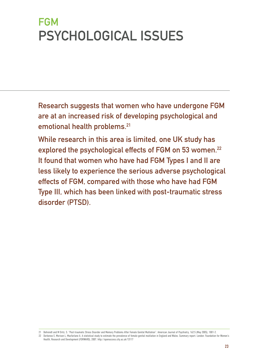# <span id="page-24-0"></span>**FGM** PSYCHOLOGICAL ISSUES

Research suggests that women who have undergone FGM are at an increased risk of developing psychological and emotional health problems.<sup>21</sup>

While research in this area is limited, one UK study has explored the psychological effects of FGM on 53 women.<sup>22</sup> It found that women who have had FGM Types I and II are less likely to experience the serious adverse psychological effects of FGM, compared with those who have had FGM Type III, which has been linked with post-traumatic stress disorder (PTSD).

<sup>21</sup> Behrendt and M Oritz, S. "Post-traumatic Stress Disorder and Memory Problems After Female Genital Mutilation". American Journal of Psychiatry, 162:5 (May 2005), 1001-2. 22 Dorkenoo E, Morison L, Macfarlane A. A statistical study to estimate the prevalence of female genital mutilation in England and Wales. Summary report. London: Foundation for Women's

Health, Research and Development (FORWARD), 2007. http://openaccess.city.ac.uk/13117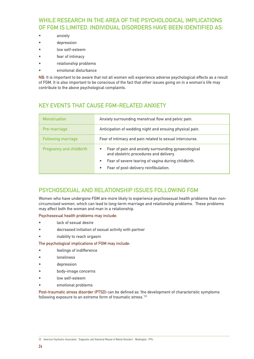### WHILE RESEARCH IN THE AREA OF THE PSYCHOLOGICAL IMPLICATIONS OF FGM IS LIMITED, INDIVIDUAL DISORDERS HAVE BEEN IDENTIFIED AS:

- anxiety
- depression
- low self-esteem
- fear of intimacy
- relationship problems
- emotional disturbance

NB: It is important to be aware that not all women will experience adverse psychological effects as a result of FGM. It is also important to be conscious of the fact that other issues going on in a woman's life may contribute to the above psychological complaints.

### KEY EVENTS THAT CAUSE FGM-RELATED ANXIETY

| <b>Menstruation</b>             | Anxiety surrounding menstrual flow and pelvic pain.                                                |  |  |  |  |
|---------------------------------|----------------------------------------------------------------------------------------------------|--|--|--|--|
| Pre-marriage                    | Anticipation of wedding night and ensuing physical pain.                                           |  |  |  |  |
| <b>Following marriage</b>       | Fear of intimacy and pain related to sexual intercourse.                                           |  |  |  |  |
| <b>Pregnancy and childbirth</b> | Fear of pain and anxiety surrounding gynaecological<br>۰<br>and obstetric procedures and delivery. |  |  |  |  |
|                                 | Fear of severe tearing of vagina during childbirth.<br>۰                                           |  |  |  |  |
|                                 | Fear of post-delivery reinfibulation.                                                              |  |  |  |  |

### PSYCHOSEXUAL AND RELATIONSHIP ISSUES FOLLOWING FGM

Women who have undergone FGM are more likely to experience psychosexual health problems than noncircumcised women, which can lead to long-term marriage and relationship problems. These problems may affect both the woman and man in a relationship.

#### Psychosexual health problems may include:

- lack of sexual desire
- decreased initiation of sexual activity with partner
- inability to reach orgasm

The psychological implications of FGM may include:

- feelings of indifference
- **loneliness**
- depression
- body-image concerns
- low self-esteem
- emotional problems

Post-traumatic stress disorder (PTSD) can be defined as 'the development of characteristic symptoms following exposure to an extreme form of traumatic stress.<sup>'23</sup>

<sup>23</sup> American Psychiatric Association. "Diagnostic and Statistical Manual of Mental Disorders". Washington, 1994.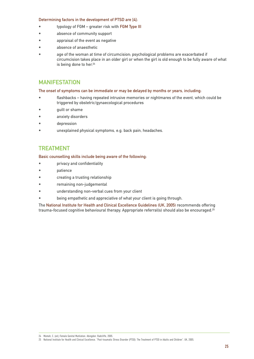#### Determining factors in the development of PTSD are [4]:

- typology of FGM greater risk with FGM Type III
- absence of community support
- appraisal of the event as negative
- absence of anaesthetic
- age of the woman at time of circumcision; psychological problems are exacerbated if circumcision takes place in an older girl or when the girl is old enough to be fully aware of what is being done to her.<sup>24</sup>

#### MANIFESTATION

#### The onset of symptoms can be immediate or may be delayed by months or years, including:

- flashbacks having repeated intrusive memories or nightmares of the event, which could be triggered by obstetric/gynaecological procedures
- guilt or shame
- anxiety disorders
- depression
- unexplained physical symptoms, e.g. back pain, headaches.

#### **TREATMENT**

#### Basic counselling skills include being aware of the following:

- privacy and confidentiality
- patience
- creating a trusting relationship
- remaining non-judgemental
- understanding non-verbal cues from your client
- being empathetic and appreciative of what your client is going through.

The National Institute for Health and Clinical Excellence Guidelines (UK, 2005) recommends offering trauma-focused cognitive behavioural therapy. Appropriate referral(s) should also be encouraged.<sup>25</sup>

<sup>24</sup> Momoh, C. (ed.) Female Genital Mutilation. Abingdon: Radcliffe, 2005.

<sup>25</sup> National Institute for Health and Clinical Excellence. "Post-traumatic Stress Disorder (PTSD): The Treatment of PTSD in Adults and Children". UK, 2005.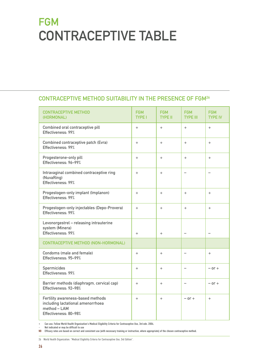# <span id="page-27-0"></span>**FGM** CONTRACEPTIVE TABLE

### CONTRACEPTIVE METHOD SUITABILITY IN THE PRESENCE OF FGM26

| <b>CONTRACEPTIVE METHOD</b><br>(HORMONAL)                                                                       | <b>FGM</b><br><b>TYPE I</b> | <b>FGM</b><br><b>TYPE II</b> | <b>FGM</b><br><b>TYPE III</b> | <b>FGM</b><br><b>TYPE IV</b> |
|-----------------------------------------------------------------------------------------------------------------|-----------------------------|------------------------------|-------------------------------|------------------------------|
| Combined oral contraceptive pill<br>Effectiveness: 99%                                                          | $+$                         | $+$                          | $+$                           | $+$                          |
| Combined contraceptive patch (Evra)<br>Effectiveness: 99%                                                       | $+$                         | $+$                          | $^{+}$                        | $^{+}$                       |
| Progesterone-only pill<br>Effectiveness: 96-99%                                                                 | $\ddot{}$                   | $+$                          | $+$                           | $+$                          |
| Intravaginal combined contraceptive ring<br>(NuvaRing)<br>Effectiveness: 99%                                    | $+$                         | $+$                          | L.                            |                              |
| Progestogen-only implant (Implanon)<br>Effectiveness: 99%                                                       | $+$                         | $+$                          | $+$                           | $+$                          |
| Progestogen-only injectables (Depo-Provera)<br>Effectiveness: 99%                                               | $\ddot{}$                   | $+$                          | $+$                           | $+$                          |
| Levonorgestrel - releasing intrauterine<br>system (Minera)<br>Effectiveness: 99%                                | $+$                         | $+$                          |                               |                              |
| <b>CONTRACEPTIVE METHOD (NON-HORMONAL)</b>                                                                      |                             |                              |                               |                              |
| Condoms (male and female)<br>Effectiveness: 95-99%                                                              | $+$                         | $+$                          | $\overline{ }$                | $+$                          |
| Spermicides<br>Effectiveness: 99%                                                                               | $+$                         | $+$                          | -                             | $-$ or $+$                   |
| Barrier methods (diaphragm, cervical cap)<br>Effectiveness: 92-98%                                              | $+$                         | $+$                          | $\overline{\phantom{0}}$      | $-$ or $+$                   |
| Fertility awareness-based methods<br>including lactational amenorrhoea<br>method - LAM<br>Effectiveness: 80-98% | $+$                         | $+$                          | $-$ or $+$                    | $+$                          |

+ Can use. Follow World Health Organization's Medical Eligibility Criteria for Contraceptive Use, 3rd edn. 2004.

– Not indicated or may be difficult to use

NB Efficacy rates are based on correct and consistent use (with necessary training or instruction, where appropriate) of the chosen contraceptive method.

26 World Health Organization. "Medical Eligibility Criteria for Contraceptive Use, 3rd Edition".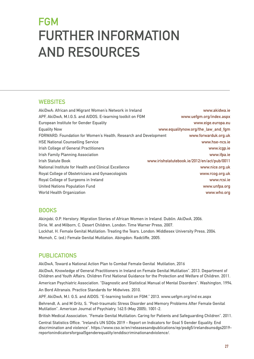# <span id="page-28-0"></span>**FGM** FURTHER INFORMATION AND RESOURCES

#### **WEBSITES**

| AkiDwA: African and Migrant Women's Network in Ireland           | www.akidwa.ie                                |
|------------------------------------------------------------------|----------------------------------------------|
| APF, AkiDwA, M.I.G.S. and AIDOS, E-learning toolkit on FGM       | www.uefgm.org/index.aspx                     |
| <b>European Institute for Gender Equality</b>                    | www.eige.europa.eu                           |
| <b>Equality Now</b>                                              | www.equalitynow.org/the_law_and_fgm          |
| FORWARD: Foundation for Women's Health, Research and Development | www.forwarduk.org.uk                         |
| <b>HSE National Counselling Service</b>                          | www.hse-ncs.ie                               |
| <b>Irish College of General Practitioners</b>                    | www.icgp.ie                                  |
| <b>Irish Family Planning Association</b>                         | www.ifpa.ie                                  |
| <b>Irish Statute Book</b>                                        | www.irishstatutebook.ie/2012/en/act/pub/0011 |
| National Institute for Health and Clinical Excellence            | www.nice.org.uk                              |
| Royal College of Obstetricians and Gynaecologists                | www.rcog.org.uk                              |
| Royal College of Surgeons in Ireland                             | www.rcsi.je                                  |
| <b>United Nations Population Fund</b>                            | www.unfpa.org                                |
| <b>World Health Organization</b>                                 | www.who.org                                  |

#### **BOOKS**

Akinjobi, O.P. Herstory: Migration Stories of African Women in Ireland. Dublin: AkiDwA, 2006. Dirie, W. and Milborn, C. Desert Children. London: Time Warner Press, 2007. Lockhat, H. Female Genital Mutilation: Treating the Tears. London: Middlesex University Press, 2004. Momoh, C. (ed.) Female Genital Mutilation. Abingdon: Radcliffe, 2005.

### PUBLICATIONS

AkiDwA, Toward a National Action Plan to Combat Female Genital Mutilation, 2016

AkiDwA, Knowledge of General Practitioners in Ireland on Female Genital Mutilation". 2013. Department of Children and Youth Affairs. Children First National Guidance for the Protection and Welfare of Children. 2011.

American Psychiatric Association. "Diagnostic and Statistical Manual of Mental Disorders". Washington, 1994. An Bord Altranais. Practice Standards for Midwives. 2010.

APF, AkiDwA, M.I. G.S. and AIDOS. "E-learning toolkit on FGM." 2013. www.uefgm.org/ind ex.aspx

Behrendt, A. and M Oritz, S. "Post-traumatic Stress Disorder and Memory Problems After Female Genital Mutilation". American Journal of Psychiatry, 162:5 (May 2005), 1001-2.

British Medical Association. "Female Genital Mutilation: Caring for Patients and Safeguarding Children". 2011.

Central Statistics Office. "Ireland's UN SDGs 2019 - Report on Indicators for Goal 5 Gender Equality. End discrimination and violence". https://www.cso.ie/en/releasesandpublications/ep/psdg5/irelandsunsdgs2019 reportonindicatorsforgoal5genderequality/enddiscriminationandviolence/.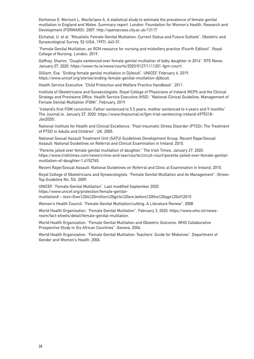Dorkenoo E, Morison L, Macfarlane A. A statistical study to estimate the prevalence of female genital mutilation in England and Wales. Summary report. London: Foundation for Women's Health, Research and Development (FORWARD), 2007. http://openaccess.city.ac.uk/13117

Elchahal, U. et al. "Ritualistic Female Genital Mutilation: Current Status and Future Outlook". Obstetric and Gynaecological Survey, 52 (USA, 1997), 643-51.

"Female Genital Mutilation, an RCN resource for nursing and midwifery practice (Fourth Edition)". Royal College of Nursing. London, 2019.

Gaffney, Sharon. "Couple sentenced over female genital mutilation of baby daughter in 2016". RTE News. January 27, 2020. https://www.rte.ie/news/courts/2020/0127/1111201-fgm-court/.

Gilliam, Eva. "Ending female genital mutilation in Djibouti". UNICEF. February 6, 2019. https://www.unicef.org/stories/ending-female-genital-mutilation-djibouti.

Health Service Executive. "Child Protection and Welfare Practice Handbook". 2011.

Institute of Obstetricians and Gynaecologists, Royal College of Physicians of Ireland (RCPI) and the Clinical Strategy and Provisions Office, Health Service Executive (HSE). "National Clinical Guideline, Management of Female Genital Mutilation (FGM)". February, 2019.

"Ireland's first FGM conviction: Father sentenced to 5.5 years, mother sentenced to 4 years and 9 months". The Journal.ie. January 27, 2020. https://www.thejournal.ie/fgm-trial-sentencing-ireland-4975318- Jan2020/.

National Institute for Health and Clinical Excellence. "Post-traumatic Stress Disorder (PTSD): The Treatment of PTSD in Adults and Children". UK, 2005.

National Sexual Assault Treatment Unit (SATU) Guidelines Development Group. Recent Rape/Sexual Assault: National Guidelines on Referral and Clinical Examination in Ireland, 2010.

"Parents jailed over female genital mutilation of daughter." The Irish Times. January 27, 2020. https://www.irishtimes.com/news/crime-and-law/courts/circuit-court/parents-jailed-over-female-genitalmutilation-of-daughter-1.4152765.

Recent Rape/Sexual Assault: National Guidelines on Referral and Clinic al Examination in Ireland, 2010.

Royal College of Obstetricians and Gynaecologists. "Female Genital Mutilation and its Management". (Green Top Guideline No. 53). 2009.

UNICEF. "Female Genital Mutilation". Last modified September 2020. https://www.unicef.org/protection/female-genitalmutilation#:~:text=Over%204%20million%20girls%20are,before%20the%20age%20of%2015

Women's Health Council. "Female Genital Mutilation/cutting: A Literature Review", 2008.

World Health Organisation. "Female Genital Mutilation". February 3, 2020. https://www.who.int/newsroom/fact-sheets/detail/female-genital-mutilation.

World Health Organization. "Female Genital Mutilation and Obstetric Outcome: WHO Collaborative Prospective Study in Six African Countries". Geneva, 2006.

World Health Organization. "Female Genital Mutilation: Teachers' Guide for Midwives". Department of Gender and Women's Health, 2006.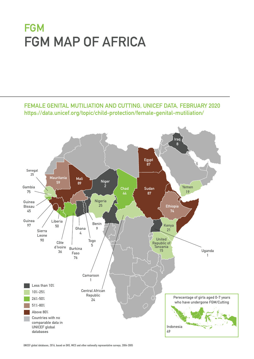# **FGM** FGM MAP OF AFRICA



FEMALE GENITAL MUTILIATION AND CUTTING, UNICEF DATA, FEBRUARY 2020